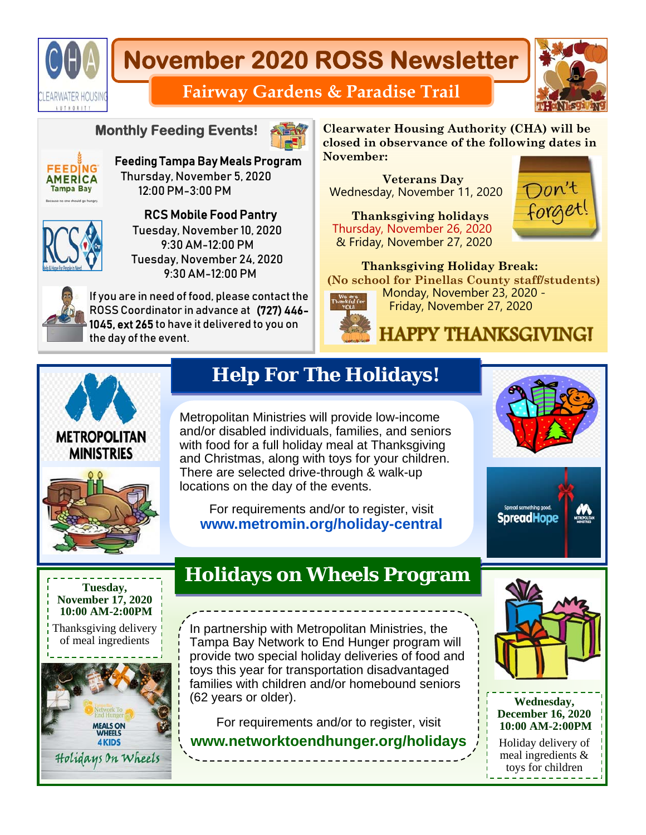

# **November 2020 ROSS Newsletter**



### **Fairway Gardens & Paradise Trail**

#### **Monthly Feeding Events!**



Feeding Tampa Bay Meals Program Thursday, November 5, 2020 12:00 PM-3:00 PM



RCS Mobile Food Pantry Tuesday, November 10, 2020 9:30 AM-12:00 PM Tuesday, November 24, 2020 9:30 AM-12:00 PM



If you are in need of food, please contact the ROSS Coordinator in advance at (727) 446- 1045, ext 265 to have it delivered to you on the day of the event.

**Clearwater Housing Authority (CHA) will be closed in observance of the following dates in November:** 

 **Veterans Day**  Wednesday, November 11, 2020

 **Thanksgiving holidays**  Thursday, November 26, 2020 & Friday, November 27, 2020



 **Thanksgiving Holiday Break: (No school for Pinellas County staff/students)**  Monday, November 23, 2020 - Friday, November 27, 2020

# **HAPPY THANKSGIVING!**



## **Help For The Holidays!**

Metropolitan Ministries will provide low-income and/or disabled individuals, families, and seniors with food for a full holiday meal at Thanksgiving and Christmas, along with toys for your children. There are selected drive-through & walk-up locations on the day of the events.

For requirements and/or to register, visit **www.metromin.org/holiday-central** 







## **Holidays on Wheels Program**

In partnership with Metropolitan Ministries, the Tampa Bay Network to End Hunger program will provide two special holiday deliveries of food and toys this year for transportation disadvantaged families with children and/or homebound seniors (62 years or older).

For requirements and/or to register, visit **www.networktoendhunger.org/holidays**





toys for children